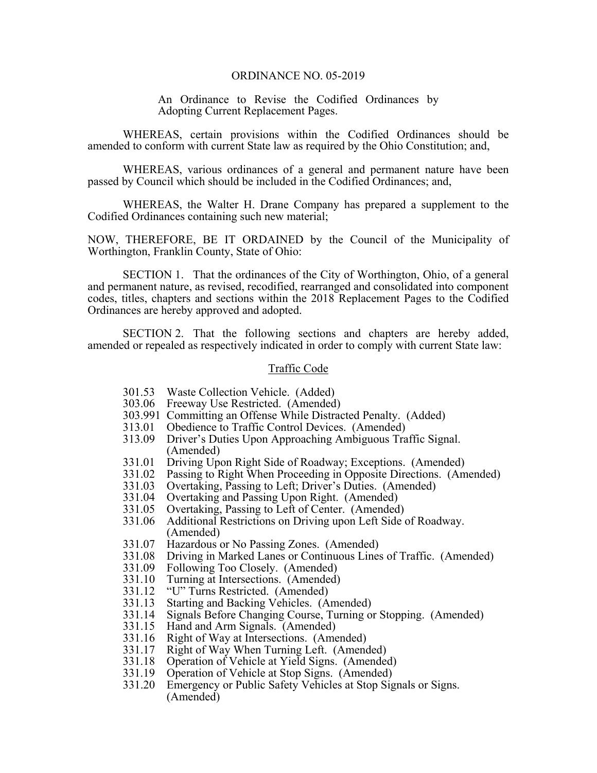## ORDINANCE NO. 05-2019

An Ordinance to Revise the Codified Ordinances by Adopting Current Replacement Pages.

 WHEREAS, certain provisions within the Codified Ordinances should be amended to conform with current State law as required by the Ohio Constitution; and,

 WHEREAS, various ordinances of a general and permanent nature have been passed by Council which should be included in the Codified Ordinances; and,

 WHEREAS, the Walter H. Drane Company has prepared a supplement to the Codified Ordinances containing such new material;

NOW, THEREFORE, BE IT ORDAINED by the Council of the Municipality of Worthington, Franklin County, State of Ohio:

 SECTION 1. That the ordinances of the City of Worthington, Ohio, of a general and permanent nature, as revised, recodified, rearranged and consolidated into component codes, titles, chapters and sections within the 2018 Replacement Pages to the Codified Ordinances are hereby approved and adopted.

 SECTION 2. That the following sections and chapters are hereby added, amended or repealed as respectively indicated in order to comply with current State law:

## Traffic Code

- 301.53 Waste Collection Vehicle. (Added)
- 303.06 Freeway Use Restricted. (Amended)
- 303.991 Committing an Offense While Distracted Penalty. (Added)
- 313.01 Obedience to Traffic Control Devices. (Amended)
- 313.09 Driver's Duties Upon Approaching Ambiguous Traffic Signal. (Amended)
- 331.01 Driving Upon Right Side of Roadway; Exceptions. (Amended)
- 331.02 Passing to Right When Proceeding in Opposite Directions. (Amended)
- 331.03 Overtaking, Passing to Left; Driver's Duties. (Amended)
- 331.04 Overtaking and Passing Upon Right. (Amended)
- 331.05 Overtaking, Passing to Left of Center. (Amended)
- 331.06 Additional Restrictions on Driving upon Left Side of Roadway. (Amended)
- 331.07 Hazardous or No Passing Zones. (Amended)
- 331.08 Driving in Marked Lanes or Continuous Lines of Traffic. (Amended)
- 331.09 Following Too Closely. (Amended)
- 331.10 Turning at Intersections. (Amended)
- 331.12 "U" Turns Restricted. (Amended)
- 331.13 Starting and Backing Vehicles. (Amended)
- 331.14 Signals Before Changing Course, Turning or Stopping. (Amended)
- 331.15 Hand and Arm Signals. (Amended)
- 331.16 Right of Way at Intersections. (Amended)<br>331.17 Right of Way When Turning Left. (Amend
- Right of Way When Turning Left. (Amended)
- 331.18 Operation of Vehicle at Yield Signs. (Amended)
- 331.19 Operation of Vehicle at Stop Signs. (Amended)
- 331.20 Emergency or Public Safety Vehicles at Stop Signals or Signs. (Amended)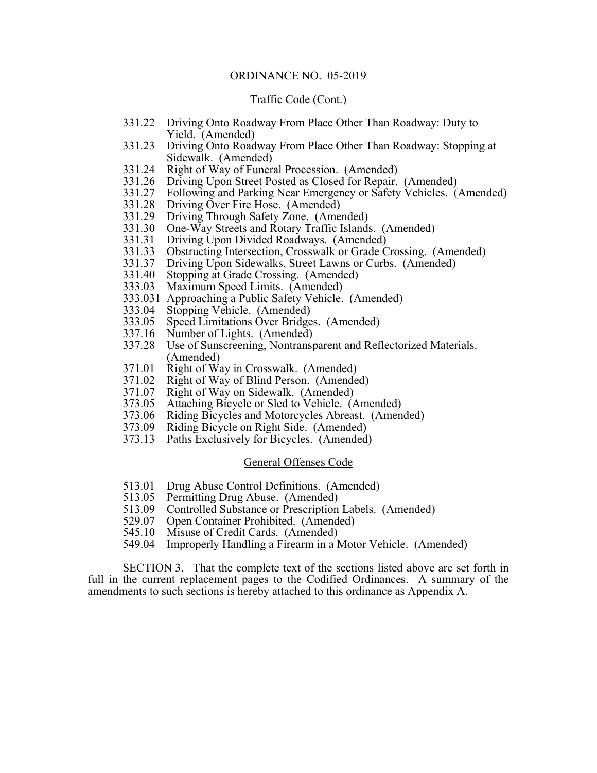# ORDINANCE NO. 05-2019

#### Traffic Code (Cont.)

- 331.22 Driving Onto Roadway From Place Other Than Roadway: Duty to Yield. (Amended)
- 331.23 Driving Onto Roadway From Place Other Than Roadway: Stopping at Sidewalk. (Amended)
- 331.24 Right of Way of Funeral Procession. (Amended)
- 331.26 Driving Upon Street Posted as Closed for Repair. (Amended)
- 331.27 Following and Parking Near Emergency or Safety Vehicles. (Amended)
- 331.28 Driving Over Fire Hose. (Amended)
- 331.29 Driving Through Safety Zone. (Amended)
- 331.30 One-Way Streets and Rotary Traffic Islands. (Amended)
- 331.31 Driving Upon Divided Roadways. (Amended)
- 331.33 Obstructing Intersection, Crosswalk or Grade Crossing. (Amended)
- 331.37 Driving Upon Sidewalks, Street Lawns or Curbs. (Amended)
- 331.40 Stopping at Grade Crossing. (Amended)
- 333.03 Maximum Speed Limits. (Amended)
- 333.031 Approaching a Public Safety Vehicle. (Amended)
- 333.04 Stopping Vehicle. (Amended)
- 333.05 Speed Limitations Over Bridges. (Amended)
- 337.16 Number of Lights. (Amended)
- 337.28 Use of Sunscreening, Nontransparent and Reflectorized Materials. (Amended)
- 371.01 Right of Way in Crosswalk. (Amended)
- 371.02 Right of Way of Blind Person. (Amended)
- 371.07 Right of Way on Sidewalk. (Amended)
- 373.05 Attaching Bicycle or Sled to Vehicle. (Amended)
- 373.06 Riding Bicycles and Motorcycles Abreast. (Amended)
- 373.09 Riding Bicycle on Right Side. (Amended)
- 373.13 Paths Exclusively for Bicycles. (Amended)

# General Offenses Code

- 513.01 Drug Abuse Control Definitions. (Amended)
- 513.05 Permitting Drug Abuse. (Amended)
- 513.09 Controlled Substance or Prescription Labels. (Amended) 529.07 Open Container Prohibited. (Amended)
- 
- 545.10 Misuse of Credit Cards. (Amended)
- 549.04 Improperly Handling a Firearm in a Motor Vehicle. (Amended)

 SECTION 3. That the complete text of the sections listed above are set forth in full in the current replacement pages to the Codified Ordinances. A summary of the amendments to such sections is hereby attached to this ordinance as Appendix A.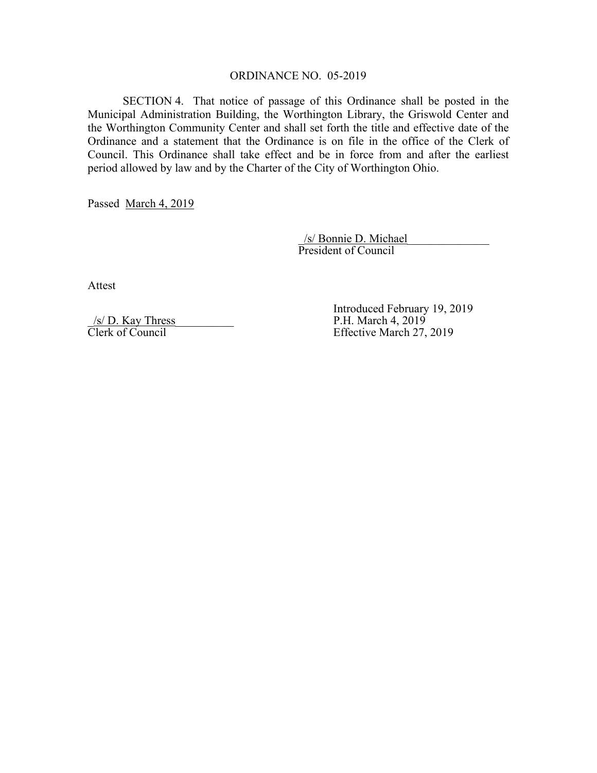# ORDINANCE NO. 05-2019

 SECTION 4. That notice of passage of this Ordinance shall be posted in the Municipal Administration Building, the Worthington Library, the Griswold Center and the Worthington Community Center and shall set forth the title and effective date of the Ordinance and a statement that the Ordinance is on file in the office of the Clerk of Council. This Ordinance shall take effect and be in force from and after the earliest period allowed by law and by the Charter of the City of Worthington Ohio.

Passed March 4, 2019

 $/s/$  Bonnie D. Michael President of Council

Attest

 $\frac{\sqrt{s}}{\text{Clerk of Council}}$  P.H. March 4, 2019<br>Effective March 27.

Introduced February 19, 2019<br>Introduced February 19, 2019<br>P.H. March 4, 2019 Effective March 27, 2019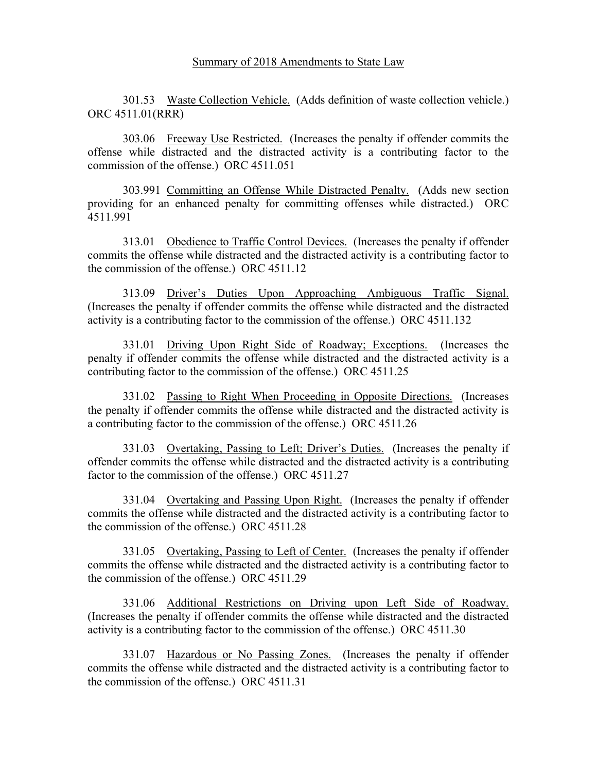301.53 Waste Collection Vehicle. (Adds definition of waste collection vehicle.) ORC 4511.01(RRR)

 303.06 Freeway Use Restricted. (Increases the penalty if offender commits the offense while distracted and the distracted activity is a contributing factor to the commission of the offense.) ORC 4511.051

 303.991 Committing an Offense While Distracted Penalty. (Adds new section providing for an enhanced penalty for committing offenses while distracted.) ORC 4511.991

 313.01 Obedience to Traffic Control Devices. (Increases the penalty if offender commits the offense while distracted and the distracted activity is a contributing factor to the commission of the offense.) ORC 4511.12

 313.09 Driver's Duties Upon Approaching Ambiguous Traffic Signal. (Increases the penalty if offender commits the offense while distracted and the distracted activity is a contributing factor to the commission of the offense.) ORC 4511.132

 331.01 Driving Upon Right Side of Roadway; Exceptions. (Increases the penalty if offender commits the offense while distracted and the distracted activity is a contributing factor to the commission of the offense.) ORC 4511.25

331.02 Passing to Right When Proceeding in Opposite Directions. (Increases the penalty if offender commits the offense while distracted and the distracted activity is a contributing factor to the commission of the offense.) ORC 4511.26

 331.03 Overtaking, Passing to Left; Driver's Duties. (Increases the penalty if offender commits the offense while distracted and the distracted activity is a contributing factor to the commission of the offense.) ORC 4511.27

 331.04 Overtaking and Passing Upon Right. (Increases the penalty if offender commits the offense while distracted and the distracted activity is a contributing factor to the commission of the offense.) ORC 4511.28

 331.05 Overtaking, Passing to Left of Center. (Increases the penalty if offender commits the offense while distracted and the distracted activity is a contributing factor to the commission of the offense.) ORC 4511.29

 331.06 Additional Restrictions on Driving upon Left Side of Roadway. (Increases the penalty if offender commits the offense while distracted and the distracted activity is a contributing factor to the commission of the offense.) ORC 4511.30

 331.07 Hazardous or No Passing Zones. (Increases the penalty if offender commits the offense while distracted and the distracted activity is a contributing factor to the commission of the offense.) ORC 4511.31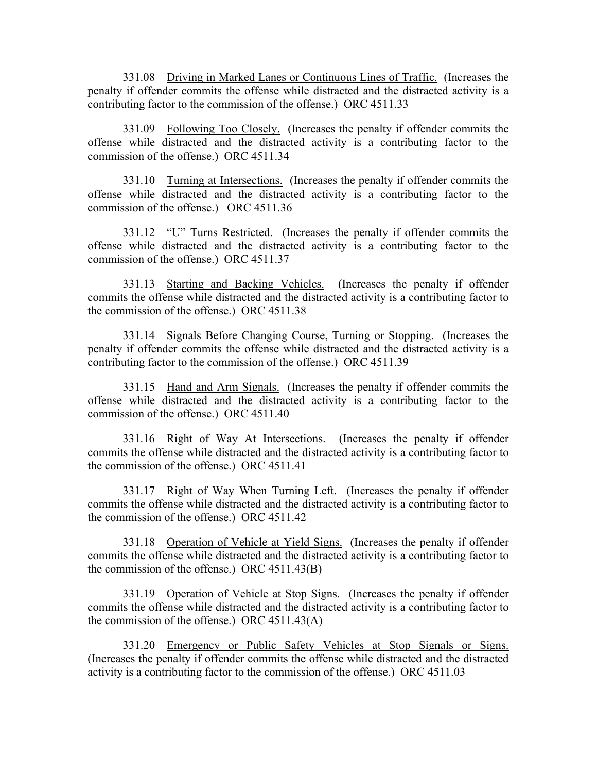331.08 Driving in Marked Lanes or Continuous Lines of Traffic. (Increases the penalty if offender commits the offense while distracted and the distracted activity is a contributing factor to the commission of the offense.) ORC 4511.33

 331.09 Following Too Closely. (Increases the penalty if offender commits the offense while distracted and the distracted activity is a contributing factor to the commission of the offense.) ORC 4511.34

 331.10 Turning at Intersections. (Increases the penalty if offender commits the offense while distracted and the distracted activity is a contributing factor to the commission of the offense.) ORC 4511.36

331.12 "U" Turns Restricted. (Increases the penalty if offender commits the offense while distracted and the distracted activity is a contributing factor to the commission of the offense.) ORC 4511.37

 331.13 Starting and Backing Vehicles. (Increases the penalty if offender commits the offense while distracted and the distracted activity is a contributing factor to the commission of the offense.) ORC 4511.38

 331.14 Signals Before Changing Course, Turning or Stopping. (Increases the penalty if offender commits the offense while distracted and the distracted activity is a contributing factor to the commission of the offense.) ORC 4511.39

 331.15 Hand and Arm Signals. (Increases the penalty if offender commits the offense while distracted and the distracted activity is a contributing factor to the commission of the offense.) ORC 4511.40

 331.16 Right of Way At Intersections. (Increases the penalty if offender commits the offense while distracted and the distracted activity is a contributing factor to the commission of the offense.) ORC 4511.41

 331.17 Right of Way When Turning Left. (Increases the penalty if offender commits the offense while distracted and the distracted activity is a contributing factor to the commission of the offense.) ORC 4511.42

 331.18 Operation of Vehicle at Yield Signs. (Increases the penalty if offender commits the offense while distracted and the distracted activity is a contributing factor to the commission of the offense.) ORC 4511.43(B)

 331.19 Operation of Vehicle at Stop Signs. (Increases the penalty if offender commits the offense while distracted and the distracted activity is a contributing factor to the commission of the offense.) ORC 4511.43(A)

 331.20 Emergency or Public Safety Vehicles at Stop Signals or Signs. (Increases the penalty if offender commits the offense while distracted and the distracted activity is a contributing factor to the commission of the offense.) ORC 4511.03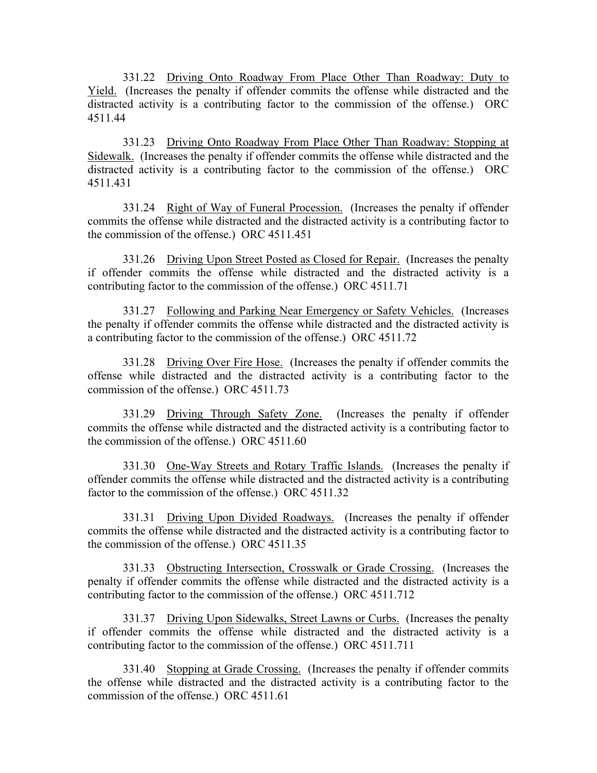331.22 Driving Onto Roadway From Place Other Than Roadway: Duty to Yield. (Increases the penalty if offender commits the offense while distracted and the distracted activity is a contributing factor to the commission of the offense.) ORC 4511.44

 331.23 Driving Onto Roadway From Place Other Than Roadway: Stopping at Sidewalk. (Increases the penalty if offender commits the offense while distracted and the distracted activity is a contributing factor to the commission of the offense.) ORC 4511.431

 331.24 Right of Way of Funeral Procession. (Increases the penalty if offender commits the offense while distracted and the distracted activity is a contributing factor to the commission of the offense.) ORC 4511.451

 331.26 Driving Upon Street Posted as Closed for Repair. (Increases the penalty if offender commits the offense while distracted and the distracted activity is a contributing factor to the commission of the offense.) ORC 4511.71

 331.27 Following and Parking Near Emergency or Safety Vehicles. (Increases the penalty if offender commits the offense while distracted and the distracted activity is a contributing factor to the commission of the offense.) ORC 4511.72

 331.28 Driving Over Fire Hose. (Increases the penalty if offender commits the offense while distracted and the distracted activity is a contributing factor to the commission of the offense.) ORC 4511.73

 331.29 Driving Through Safety Zone. (Increases the penalty if offender commits the offense while distracted and the distracted activity is a contributing factor to the commission of the offense.) ORC 4511.60

 331.30 One-Way Streets and Rotary Traffic Islands. (Increases the penalty if offender commits the offense while distracted and the distracted activity is a contributing factor to the commission of the offense.) ORC 4511.32

 331.31 Driving Upon Divided Roadways. (Increases the penalty if offender commits the offense while distracted and the distracted activity is a contributing factor to the commission of the offense.) ORC 4511.35

 331.33 Obstructing Intersection, Crosswalk or Grade Crossing. (Increases the penalty if offender commits the offense while distracted and the distracted activity is a contributing factor to the commission of the offense.) ORC 4511.712

331.37 Driving Upon Sidewalks, Street Lawns or Curbs. (Increases the penalty if offender commits the offense while distracted and the distracted activity is a contributing factor to the commission of the offense.) ORC 4511.711

 331.40 Stopping at Grade Crossing. (Increases the penalty if offender commits the offense while distracted and the distracted activity is a contributing factor to the commission of the offense.) ORC 4511.61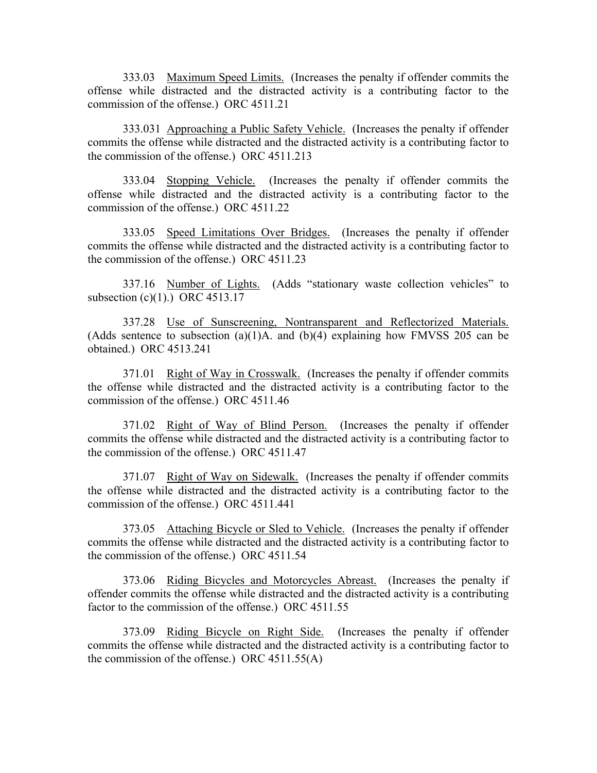333.03 Maximum Speed Limits. (Increases the penalty if offender commits the offense while distracted and the distracted activity is a contributing factor to the commission of the offense.) ORC 4511.21

 333.031 Approaching a Public Safety Vehicle. (Increases the penalty if offender commits the offense while distracted and the distracted activity is a contributing factor to the commission of the offense.) ORC 4511.213

 333.04 Stopping Vehicle. (Increases the penalty if offender commits the offense while distracted and the distracted activity is a contributing factor to the commission of the offense.) ORC 4511.22

 333.05 Speed Limitations Over Bridges. (Increases the penalty if offender commits the offense while distracted and the distracted activity is a contributing factor to the commission of the offense.) ORC 4511.23

 337.16 Number of Lights. (Adds "stationary waste collection vehicles" to subsection (c)(1).) ORC 4513.17

 337.28 Use of Sunscreening, Nontransparent and Reflectorized Materials. (Adds sentence to subsection (a)(1)A. and (b)(4) explaining how FMVSS 205 can be obtained.) ORC 4513.241

371.01 Right of Way in Crosswalk. (Increases the penalty if offender commits the offense while distracted and the distracted activity is a contributing factor to the commission of the offense.) ORC 4511.46

 371.02 Right of Way of Blind Person. (Increases the penalty if offender commits the offense while distracted and the distracted activity is a contributing factor to the commission of the offense.) ORC 4511.47

371.07 Right of Way on Sidewalk. (Increases the penalty if offender commits the offense while distracted and the distracted activity is a contributing factor to the commission of the offense.) ORC 4511.441

 373.05 Attaching Bicycle or Sled to Vehicle. (Increases the penalty if offender commits the offense while distracted and the distracted activity is a contributing factor to the commission of the offense.) ORC 4511.54

 373.06 Riding Bicycles and Motorcycles Abreast. (Increases the penalty if offender commits the offense while distracted and the distracted activity is a contributing factor to the commission of the offense.) ORC 4511.55

 373.09 Riding Bicycle on Right Side. (Increases the penalty if offender commits the offense while distracted and the distracted activity is a contributing factor to the commission of the offense.) ORC 4511.55(A)